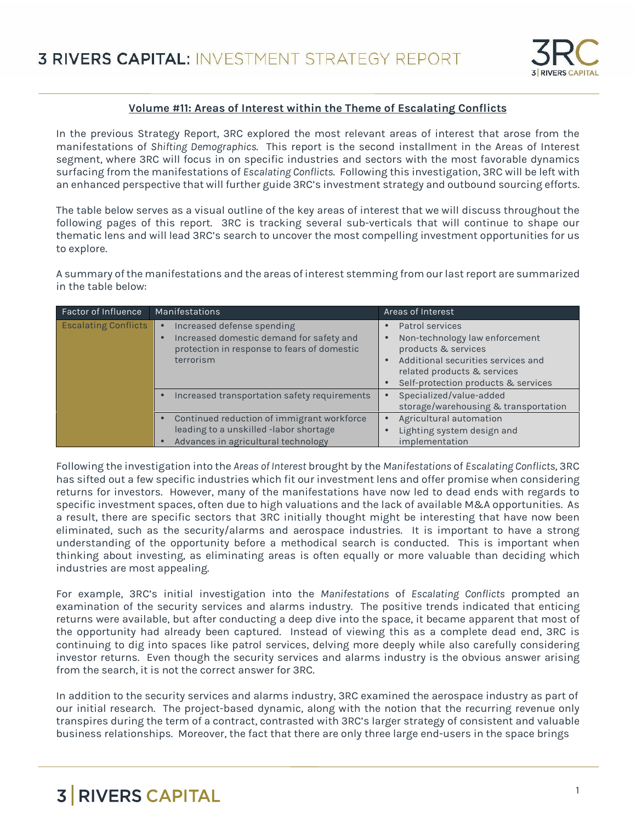

#### **Volume #11: Areas of Interest within the Theme of Escalating Conflicts**

In the previous Strategy Report, 3RC explored the most relevant areas of interest that arose from the manifestations of *Shifting Demographics*. This report is the second installment in the Areas of Interest segment, where 3RC will focus in on specific industries and sectors with the most favorable dynamics surfacing from the manifestations of *Escalating Conflicts*. Following this investigation, 3RC will be left with an enhanced perspective that will further guide 3RC's investment strategy and outbound sourcing efforts.

The table below serves as a visual outline of the key areas of interest that we will discuss throughout the following pages of this report. 3RC is tracking several sub-verticals that will continue to shape our thematic lens and will lead 3RC's search to uncover the most compelling investment opportunities for us to explore.

A summary of the manifestations and the areas of interest stemming from our last report are summarized in the table below:

| <b>Factor of Influence</b>  | Manifestations                                                                                                                                               | Areas of Interest                                                                                                                                                                    |
|-----------------------------|--------------------------------------------------------------------------------------------------------------------------------------------------------------|--------------------------------------------------------------------------------------------------------------------------------------------------------------------------------------|
| <b>Escalating Conflicts</b> | Increased defense spending<br>$\bullet$<br>Increased domestic demand for safety and<br>$\bullet$<br>protection in response to fears of domestic<br>terrorism | Patrol services<br>Non-technology law enforcement<br>products & services<br>Additional securities services and<br>related products & services<br>Self-protection products & services |
|                             | Increased transportation safety requirements<br>$\bullet$                                                                                                    | Specialized/value-added<br>storage/warehousing & transportation                                                                                                                      |
|                             | Continued reduction of immigrant workforce<br>leading to a unskilled -labor shortage<br>Advances in agricultural technology                                  | Agricultural automation<br>Lighting system design and<br>implementation                                                                                                              |

Following the investigation into the *Areas of Interest* brought by the *Manifestations* of *Escalating Conflicts*, 3RC has sifted out a few specific industries which fit our investment lens and offer promise when considering returns for investors. However, many of the manifestations have now led to dead ends with regards to specific investment spaces, often due to high valuations and the lack of available M&A opportunities. As a result, there are specific sectors that 3RC initially thought might be interesting that have now been eliminated, such as the security/alarms and aerospace industries. It is important to have a strong understanding of the opportunity before a methodical search is conducted. This is important when thinking about investing, as eliminating areas is often equally or more valuable than deciding which industries are most appealing.

For example, 3RC's initial investigation into the *Manifestations* of *Escalating Conflicts* prompted an examination of the security services and alarms industry. The positive trends indicated that enticing returns were available, but after conducting a deep dive into the space, it became apparent that most of the opportunity had already been captured. Instead of viewing this as a complete dead end, 3RC is continuing to dig into spaces like patrol services, delving more deeply while also carefully considering investor returns. Even though the security services and alarms industry is the obvious answer arising from the search, it is not the correct answer for 3RC.

In addition to the security services and alarms industry, 3RC examined the aerospace industry as part of our initial research. The project-based dynamic, along with the notion that the recurring revenue only transpires during the term of a contract, contrasted with 3RC's larger strategy of consistent and valuable business relationships. Moreover, the fact that there are only three large end-users in the space brings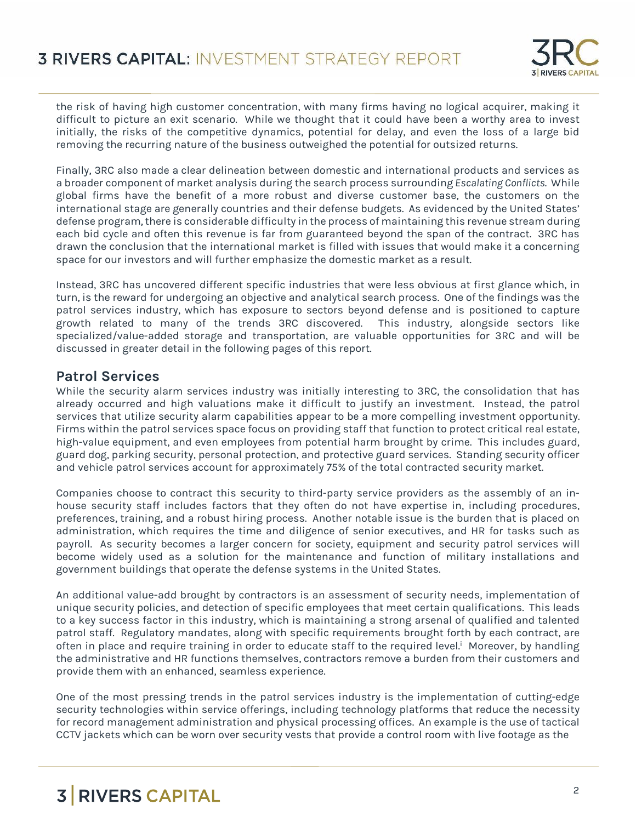

the risk of having high customer concentration, with many firms having no logical acquirer, making it difficult to picture an exit scenario. While we thought that it could have been a worthy area to invest initially, the risks of the competitive dynamics, potential for delay, and even the loss of a large bid removing the recurring nature of the business outweighed the potential for outsized returns.

Finally, 3RC also made a clear delineation between domestic and international products and services as a broader component of market analysis during the search process surrounding *Escalating Conflicts*. While global firms have the benefit of a more robust and diverse customer base, the customers on the international stage are generally countries and their defense budgets. As evidenced by the United States' defense program, there is considerable difficulty in the process of maintaining this revenue stream during each bid cycle and often this revenue is far from guaranteed beyond the span of the contract. 3RC has drawn the conclusion that the international market is filled with issues that would make it a concerning space for our investors and will further emphasize the domestic market as a result.

Instead, 3RC has uncovered different specific industries that were less obvious at first glance which, in turn, is the reward for undergoing an objective and analytical search process. One of the findings was the patrol services industry, which has exposure to sectors beyond defense and is positioned to capture growth related to many of the trends 3RC discovered. This industry, alongside sectors like specialized/value-added storage and transportation, are valuable opportunities for 3RC and will be discussed in greater detail in the following pages of this report.

#### **Patrol Services**

While the security alarm services industry was initially interesting to 3RC, the consolidation that has already occurred and high valuations make it difficult to justify an investment. Instead, the patrol services that utilize security alarm capabilities appear to be a more compelling investment opportunity. Firms within the patrol services space focus on providing staff that function to protect critical real estate, high-value equipment, and even employees from potential harm brought by crime. This includes guard, guard dog, parking security, personal protection, and protective guard services. Standing security officer and vehicle patrol services account for approximately 75% of the total contracted security market.

Companies choose to contract this security to third-party service providers as the assembly of an in house security staff includes factors that they often do not have expertise in, including procedures, preferences, training, and a robust hiring process. Another notable issue is the burden that is placed on administration, which requires the time and diligence of senior executives, and HR for tasks such as payroll. As security becomes a larger concern for society, equipment and security patrol services will become widely used as a solution for the maintenance and function of military installations and government buildings that operate the defense systems in the United States.

An additional value-add brought by contractors is an assessment of security needs, implementation of unique security policies, and detection of specific employees that meet certain qualifications. This leads to a key success factor in this industry, which is maintaining a strong arsenal of qualified and talented patrol staff. Regulatory mandates, along with specific requirements brought forth by each contract, are often in place and require training in order to educate staff to the required level.<sup>i</sup> Moreover, by handling the administrative and HR functions themselves, contractors remove a burden from their customers and provide them with an enhanced, seamless experience.

One of the most pressing trends in the patrol services industry is the implementation of cutting-edge security technologies within service offerings, including technology platforms that reduce the necessity for record management administration and physical processing offices. An example is the use of tactical CCTV jackets which can be worn over security vests that provide a control room with live footage as the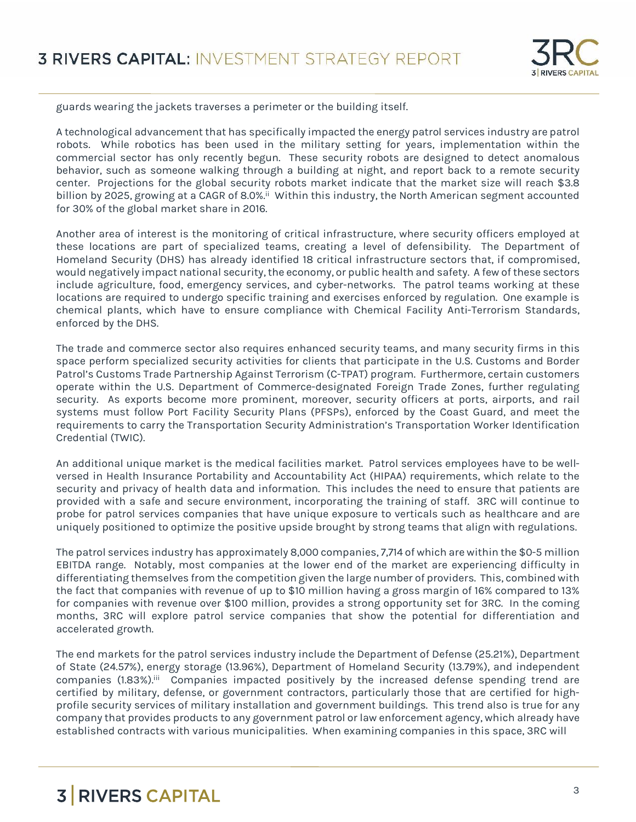

guards wearing the jackets traverses a perimeter or the building itself.

A technological advancement that has specifically impacted the energy patrol services industry are patrol robots. While robotics has been used in the military setting for years, implementation within the commercial sector has only recently begun. These security robots are designed to detect anomalous behavior, such as someone walking through a building at night, and report back to a remote security center. Projections for the global security robots market indicate that the market size will reach \$3.8 billion by 2025, growing at a CAGR of 8.0%.<sup>ii</sup> Within this industry, the North American segment accounted for 30% of the global market share in 2016.

Another area of interest is the monitoring of critical infrastructure, where security officers employed at these locations are part of specialized teams, creating a level of defensibility. The Department of Homeland Security (DHS) has already identified 18 critical infrastructure sectors that, if compromised, would negatively impact national security, the economy, or public health and safety. A few of these sectors include agriculture, food, emergency services, and cyber-networks. The patrol teams working at these locations are required to undergo specific training and exercises enforced by regulation. One example is chemical plants, which have to ensure compliance with Chemical Facility Anti-Terrorism Standards, enforced by the DHS.

The trade and commerce sector also requires enhanced security teams, and many security firms in this space perform specialized security activities for clients that participate in the U.S. Customs and Border Patrol's Customs Trade Partnership Against Terrorism (C-TPAT) program. Furthermore, certain customers operate within the U.S. Department of Commerce-designated Foreign Trade Zones, further regulating security. As exports become more prominent, moreover, security officers at ports, airports, and rail systems must follow Port Facility Security Plans (PFSPs), enforced by the Coast Guard, and meet the requirements to carry the Transportation Security Administration's Transportation Worker Identification Credential (TWIC).

An additional unique market is the medical facilities market. Patrol services employees have to be well versed in Health Insurance Portability and Accountability Act (HIPAA) requirements, which relate to the security and privacy of health data and information. This includes the need to ensure that patients are provided with a safe and secure environment, incorporating the training of staff. 3RC will continue to probe for patrol services companies that have unique exposure to verticals such as healthcare and are uniquely positioned to optimize the positive upside brought by strong teams that align with regulations.

The patrol services industry has approximately 8,000 companies, 7,714 of which are within the \$0-5 million EBITDA range. Notably, most companies at the lower end of the market are experiencing difficulty in differentiating themselves from the competition given the large number of providers. This, combined with the fact that companies with revenue of up to \$10 million having a gross margin of 16% compared to 13% for companies with revenue over \$100 million, provides a strong opportunity set for 3RC. In the coming months, 3RC will explore patrol service companies that show the potential for differentiation and accelerated growth.

The end markets for the patrol services industry include the Department of Defense (25.21%), Department of State (24.57%), energy storage (13.96%), Department of Homeland Security (13.79%), and independent companies (1.83%).<sup>iii</sup> Companies impacted positively by the increased defense spending trend are certified by military, defense, or government contractors, particularly those that are certified for high profile security services of military installation and government buildings. This trend also is true for any company that provides products to any government patrol or law enforcement agency, which already have established contracts with various municipalities. When examining companies in this space, 3RC will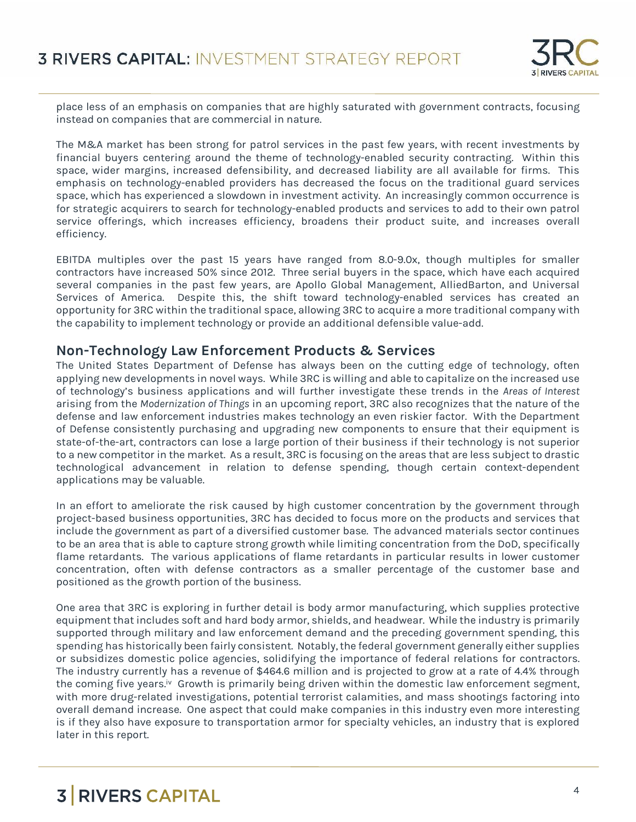

place less of an emphasis on companies that are highly saturated with government contracts, focusing instead on companies that are commercial in nature.

The M&A market has been strong for patrol services in the past few years, with recent investments by financial buyers centering around the theme of technology-enabled security contracting. Within this space, wider margins, increased defensibility, and decreased liability are all available for firms. This emphasis on technology-enabled providers has decreased the focus on the traditional guard services space, which has experienced a slowdown in investment activity. An increasingly common occurrence is for strategic acquirers to search for technology-enabled products and services to add to their own patrol service offerings, which increases efficiency, broadens their product suite, and increases overall efficiency.

EBITDA multiples over the past 15 years have ranged from 8.0-9.0x, though multiples for smaller contractors have increased 50% since 2012. Three serial buyers in the space, which have each acquired several companies in the past few years, are Apollo Global Management, AlliedBarton, and Universal Services of America. Despite this, the shift toward technology-enabled services has created an opportunity for 3RC within the traditional space, allowing 3RC to acquire a more traditional company with the capability to implement technology or provide an additional defensible value-add.

#### **Non-Technology Law Enforcement Products & Services**

The United States Department of Defense has always been on the cutting edge of technology, often applying new developments in novel ways. While 3RC is willing and able to capitalize on the increased use of technology's business applications and will further investigate these trends in the *Areas of Interest* arising from the *Modernization of Things* in an upcoming report, 3RC also recognizes that the nature of the defense and law enforcement industries makes technology an even riskier factor. With the Department of Defense consistently purchasing and upgrading new components to ensure that their equipment is state-of-the-art, contractors can lose a large portion of their business if their technology is not superior to a new competitor in the market. As a result, 3RC is focusing on the areas that are less subject to drastic technological advancement in relation to defense spending, though certain context-dependent applications may be valuable.

In an effort to ameliorate the risk caused by high customer concentration by the government through project-based business opportunities, 3RC has decided to focus more on the products and services that include the government as part of a diversified customer base. The advanced materials sector continues to be an area that is able to capture strong growth while limiting concentration from the DoD, specifically flame retardants. The various applications of flame retardants in particular results in lower customer concentration, often with defense contractors as a smaller percentage of the customer base and positioned as the growth portion of the business.

One area that 3RC is exploring in further detail is body armor manufacturing, which supplies protective equipment that includes soft and hard body armor, shields, and headwear. While the industry is primarily supported through military and law enforcement demand and the preceding government spending, this spending has historically been fairly consistent. Notably,the federal government generally either supplies or subsidizes domestic police agencies, solidifying the importance of federal relations for contractors. The industry currently has a revenue of \$464.6 million and is projected to grow at a rate of 4.4% through the coming five years.<sup>iv</sup> Growth is primarily being driven within the domestic law enforcement segment, with more drug-related investigations, potential terrorist calamities, and mass shootings factoring into overall demand increase. One aspect that could make companies in this industry even more interesting is if they also have exposure to transportation armor for specialty vehicles, an industry that is explored later in this report.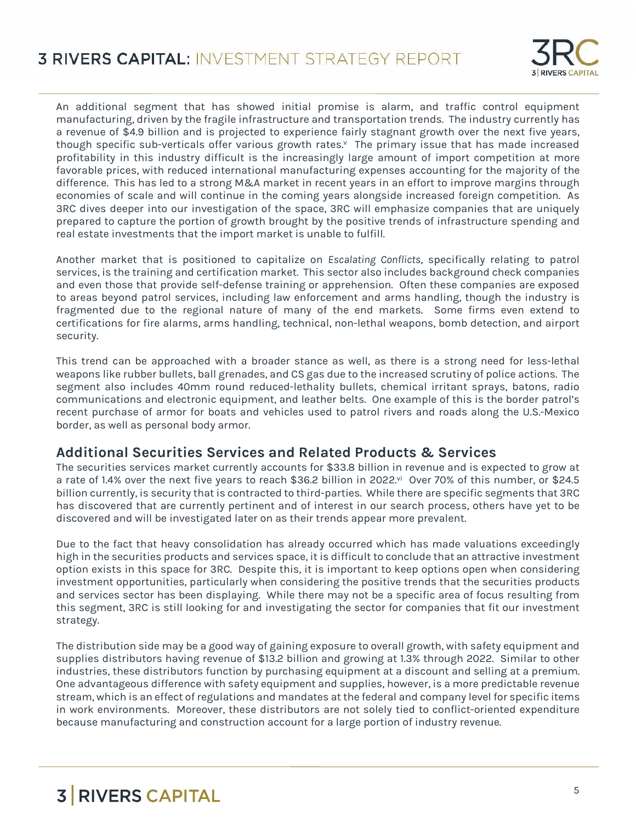

An additional segment that has showed initial promise is alarm, and traffic control equipment manufacturing, driven by the fragile infrastructure and transportation trends. The industry currently has a revenue of \$4.9 billion and is projected to experience fairly stagnant growth over the next five years, though specific sub-verticals offer various growth rates.<sup>v</sup> The primary issue that has made increased profitability in this industry difficult is the increasingly large amount of import competition at more favorable prices, with reduced international manufacturing expenses accounting for the majority of the difference. This has led to a strong M&A market in recent years in an effort to improve margins through economies of scale and will continue in the coming years alongside increased foreign competition. As 3RC dives deeper into our investigation of the space, 3RC will emphasize companies that are uniquely prepared to capture the portion of growth brought by the positive trends of infrastructure spending and real estate investments that the import market is unable to fulfill.

Another market that is positioned to capitalize on *Escalating Conflicts*, specifically relating to patrol services, is the training and certification market. This sector also includes background check companies and even those that provide self-defense training or apprehension. Often these companies are exposed to areas beyond patrol services, including law enforcement and arms handling, though the industry is fragmented due to the regional nature of many of the end markets. Some firms even extend to certifications for fire alarms, arms handling, technical, non-lethal weapons, bomb detection, and airport security.

This trend can be approached with a broader stance as well, as there is a strong need for less-lethal weapons like rubber bullets, ball grenades, and CS gas due to the increased scrutiny of police actions. The segment also includes 40mm round reduced-lethality bullets, chemical irritant sprays, batons, radio communications and electronic equipment, and leather belts. One example of this is the border patrol's recent purchase of armor for boats and vehicles used to patrol rivers and roads along the U.S.-Mexico border, as well as personal body armor.

#### **Additional Securities Services and Related Products & Services**

The securities services market currently accounts for \$33.8 billion in revenue and is expected to grow at a rate of 1.4% over the next five years to reach \$36.2 billion in 2022.<sup>yi</sup> Over 70% of this number, or \$24.5 billion currently, is security that is contracted to third-parties. While there are specific segments that 3RC has discovered that are currently pertinent and of interest in our search process, others have yet to be discovered and will be investigated later on as their trends appear more prevalent.

Due to the fact that heavy consolidation has already occurred which has made valuations exceedingly high in the securities products and services space, it is difficult to conclude that an attractive investment option exists in this space for 3RC. Despite this, it is important to keep options open when considering investment opportunities, particularly when considering the positive trends that the securities products and services sector has been displaying. While there may not be a specific area of focus resulting from this segment, 3RC is still looking for and investigating the sector for companies that fit our investment strategy.

The distribution side may be a good way of gaining exposure to overall growth, with safety equipment and supplies distributors having revenue of \$13.2 billion and growing at 1.3% through 2022. Similar to other industries, these distributors function by purchasing equipment at a discount and selling at a premium. One advantageous difference with safety equipment and supplies, however, is a more predictable revenue stream, which is an effect of regulations and mandates at the federal and company level for specific items in work environments. Moreover, these distributors are not solely tied to conflict-oriented expenditure because manufacturing and construction account for a large portion of industry revenue.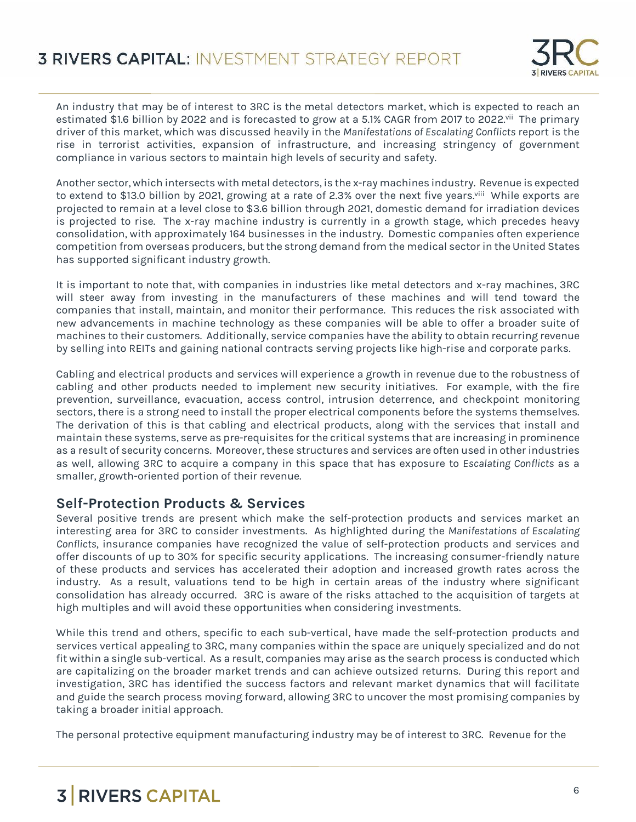

An industry that may be of interest to 3RC is the metal detectors market, which is expected to reach an estimated \$1.6 billion by 2022 and is forecasted to grow at a 5.1% CAGR from 2017 to 2022.<sup>vii</sup> The primary driver of this market, which was discussed heavily in the *Manifestations of Escalating Conflicts* report is the rise in terrorist activities, expansion of infrastructure, and increasing stringency of government compliance in various sectors to maintain high levels of security and safety.

Another sector, which intersects with metal detectors, is the x-ray machines industry. Revenue is expected to extend to \$13.0 billion by 2021, growing at a rate of 2.3% over the next five years.viii While exports are projected to remain at a level close to \$3.6 billion through 2021, domestic demand for irradiation devices is projected to rise. The x-ray machine industry is currently in a growth stage, which precedes heavy consolidation, with approximately 164 businesses in the industry. Domestic companies often experience competition from overseas producers, but the strong demand from the medical sector in the United States has supported significant industry growth.

It is important to note that, with companies in industries like metal detectors and x-ray machines, 3RC will steer away from investing in the manufacturers of these machines and will tend toward the companies that install, maintain, and monitor their performance. This reduces the risk associated with new advancements in machine technology as these companies will be able to offer a broader suite of machines to their customers. Additionally, service companies have the ability to obtain recurring revenue by selling into REITs and gaining national contracts serving projects like high-rise and corporate parks.

Cabling and electrical products and services will experience a growth in revenue due to the robustness of cabling and other products needed to implement new security initiatives. For example, with the fire prevention, surveillance, evacuation, access control, intrusion deterrence, and checkpoint monitoring sectors, there is a strong need to install the proper electrical components before the systems themselves. The derivation of this is that cabling and electrical products, along with the services that install and maintain these systems, serve as pre-requisites for the critical systems that are increasing in prominence as a result of security concerns. Moreover, these structures and services are often used in other industries as well, allowing 3RC to acquire a company in this space that has exposure to *Escalating Conflicts* as a smaller, growth-oriented portion of their revenue.

#### **Self-Protection Products & Services**

Several positive trends are present which make the self-protection products and services market an interesting area for 3RC to consider investments. As highlighted during the *Manifestations of Escalating Conflicts*, insurance companies have recognized the value of self-protection products and services and offer discounts of up to 30% for specific security applications. The increasing consumer-friendly nature of these products and services has accelerated their adoption and increased growth rates across the industry. As a result, valuations tend to be high in certain areas of the industry where significant consolidation has already occurred. 3RC is aware of the risks attached to the acquisition of targets at high multiples and will avoid these opportunities when considering investments.

While this trend and others, specific to each sub-vertical, have made the self-protection products and services vertical appealing to 3RC, many companies within the space are uniquely specialized and do not fit within a single sub-vertical. As a result, companies may arise as the search process is conducted which are capitalizing on the broader market trends and can achieve outsized returns. During this report and investigation, 3RC has identified the success factors and relevant market dynamics that will facilitate and guide the search process moving forward, allowing 3RC to uncover the most promising companies by taking a broader initial approach.

The personal protective equipment manufacturing industry may be of interest to 3RC. Revenue for the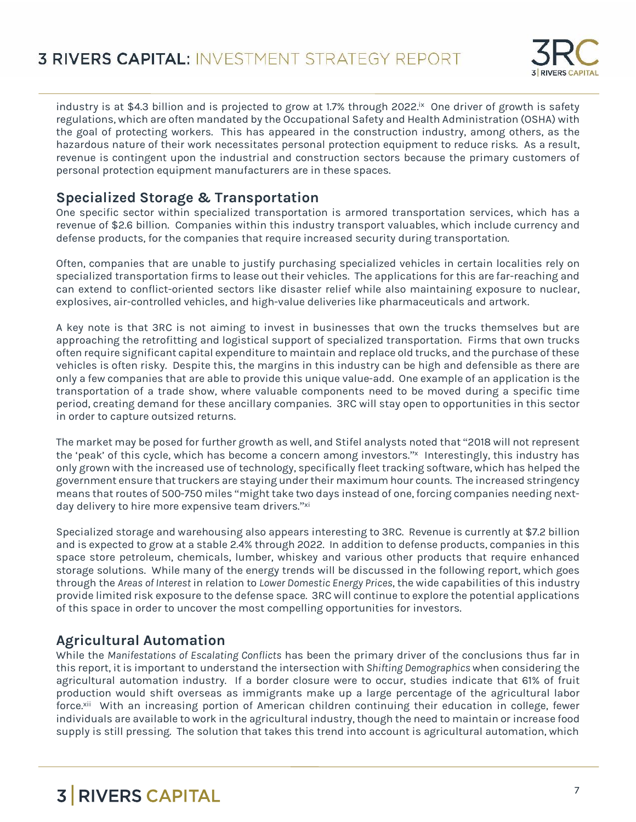

industry is at \$4.3 billion and is projected to grow at 1.7% through 2022. $\infty$  One driver of growth is safety regulations, which are often mandated by the Occupational Safety and Health Administration (OSHA) with the goal of protecting workers. This has appeared in the construction industry, among others, as the hazardous nature of their work necessitates personal protection equipment to reduce risks. As a result, revenue is contingent upon the industrial and construction sectors because the primary customers of personal protection equipment manufacturers are in these spaces.

#### **Specialized Storage & Transportation**

One specific sector within specialized transportation is armored transportation services, which has a revenue of \$2.6 billion. Companies within this industry transport valuables, which include currency and defense products, for the companies that require increased security during transportation.

Often, companies that are unable to justify purchasing specialized vehicles in certain localities rely on specialized transportation firms to lease out their vehicles. The applications for this are far-reaching and can extend to conflict-oriented sectors like disaster relief while also maintaining exposure to nuclear, explosives, air-controlled vehicles, and high-value deliveries like pharmaceuticals and artwork.

A key note is that 3RC is not aiming to invest in businesses that own the trucks themselves but are approaching the retrofitting and logistical support of specialized transportation. Firms that own trucks often require significant capital expenditure to maintain and replace old trucks, and the purchase of these vehicles is often risky. Despite this, the margins in this industry can be high and defensible as there are only a few companies that are able to provide this unique value-add. One example of an application is the transportation of a trade show, where valuable components need to be moved during a specific time period, creating demand for these ancillary companies. 3RC will stay open to opportunities in this sector in order to capture outsized returns.

The market may be posed for further growth as well, and Stifel analysts noted that "2018 will not represent the 'peak' of this cycle, which has become a concern among investors." x Interestingly, this industry has only grown with the increased use of technology, specifically fleet tracking software, which has helped the government ensure that truckers are staying under their maximum hour counts. The increased stringency means that routes of 500-750 miles "might take two days instead of one, forcing companies needing next day delivery to hire more expensive team drivers." xi

Specialized storage and warehousing also appears interesting to 3RC. Revenue is currently at \$7.2 billion and is expected to grow at a stable 2.4% through 2022. In addition to defense products, companies in this space store petroleum, chemicals, lumber, whiskey and various other products that require enhanced storage solutions. While many of the energy trends will be discussed in the following report, which goes through the *Areas of Interest* in relation to *Lower Domestic Energy Prices*, the wide capabilities of this industry provide limited risk exposure to the defense space. 3RC will continue to explore the potential applications of this space in order to uncover the most compelling opportunities for investors.

### **Agricultural Automation**

While the *Manifestations of Escalating Conflicts* has been the primary driver of the conclusions thus far in this report, it is important to understand the intersection with *Shifting Demographics* when considering the agricultural automation industry. If a border closure were to occur, studies indicate that 61% of fruit production would shift overseas as immigrants make up a large percentage of the agricultural labor force.<sup>xii</sup> With an increasing portion of American children continuing their education in college, fewer individuals are available to work in the agricultural industry, though the need to maintain or increase food supply is still pressing. The solution that takes this trend into account is agricultural automation, which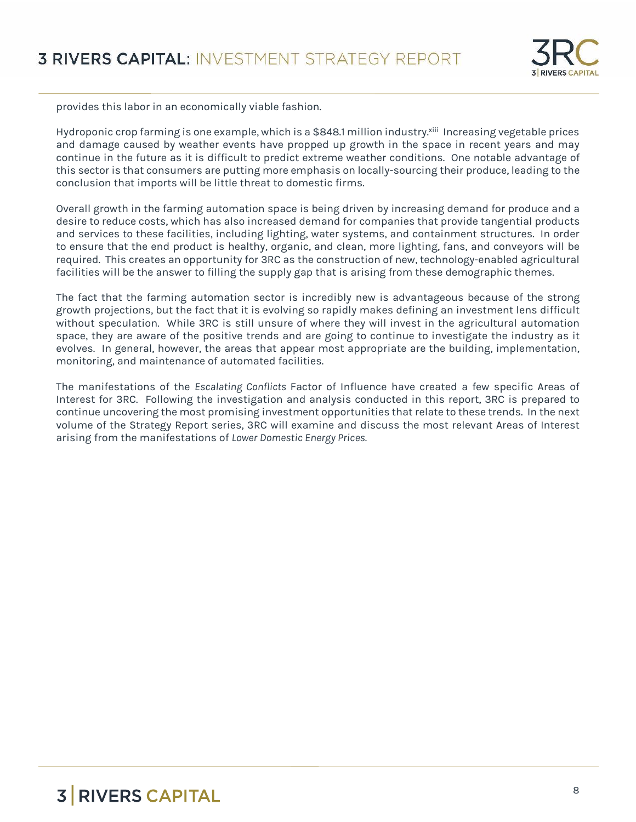

provides this labor in an economically viable fashion.

Hydroponic crop farming is one example, which is a \$848.1 million industry.<sup>xiii</sup> Increasing vegetable prices and damage caused by weather events have propped up growth in the space in recent years and may continue in the future as it is difficult to predict extreme weather conditions. One notable advantage of this sector is that consumers are putting more emphasis on locally-sourcing their produce, leading to the conclusion that imports will be little threat to domestic firms.

Overall growth in the farming automation space is being driven by increasing demand for produce and a desire to reduce costs, which has also increased demand for companies that provide tangential products and services to these facilities, including lighting, water systems, and containment structures. In order to ensure that the end product is healthy, organic, and clean, more lighting, fans, and conveyors will be required. This creates an opportunity for 3RC as the construction of new, technology-enabled agricultural facilities will be the answer to filling the supply gap that is arising from these demographic themes.

The fact that the farming automation sector is incredibly new is advantageous because of the strong growth projections, but the fact that it is evolving so rapidly makes defining an investment lens difficult without speculation. While 3RC is still unsure of where they will invest in the agricultural automation space, they are aware of the positive trends and are going to continue to investigate the industry as it evolves. In general, however, the areas that appear most appropriate are the building, implementation, monitoring, and maintenance of automated facilities.

The manifestations of the *Escalating Conflicts* Factor of Influence have created a few specific Areas of Interest for 3RC. Following the investigation and analysis conducted in this report, 3RC is prepared to continue uncovering the most promising investment opportunities that relate to these trends. In the next volume of the Strategy Report series, 3RC will examine and discuss the most relevant Areas of Interest arising from the manifestations of *Lower Domestic Energy Prices.*